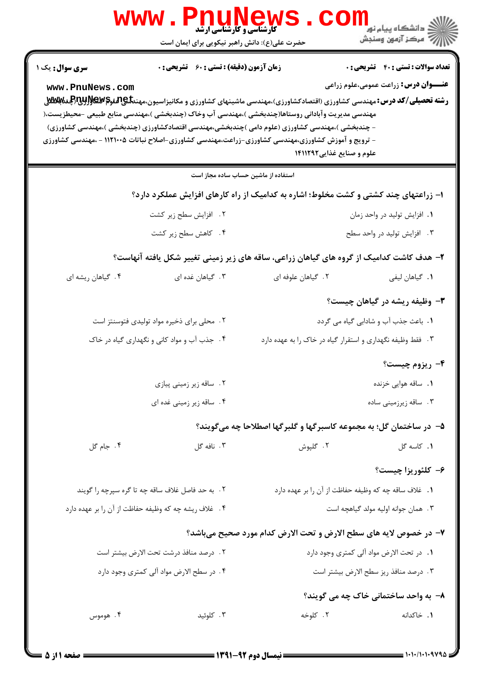| <b>کارشناسی و کارشناسی ارشد</b><br>حضرت علی(ع): دانش راهبر نیکویی برای ایمان است                                                                                                                                                                                                                                                                                                                                                                                                                         | ≦ دانشڪاه پيام نو <mark>ر</mark><br>7- مرڪز آزمون وسنجش |  |  |
|----------------------------------------------------------------------------------------------------------------------------------------------------------------------------------------------------------------------------------------------------------------------------------------------------------------------------------------------------------------------------------------------------------------------------------------------------------------------------------------------------------|---------------------------------------------------------|--|--|
| <b>زمان آزمون (دقیقه) : تستی : 60 ٪ تشریحی : 0</b><br><b>سری سوال :</b> یک ۱                                                                                                                                                                                                                                                                                                                                                                                                                             | <b>تعداد سوالات : تستی : 40 قشریحی : 0</b>              |  |  |
| www.PnuNews.com<br><b>رشته تحصیلی/کد درس:</b> مهندسی کشاورزی (اقتصادکشاورزی)،مهندسی ماشینهای کشاورزی و مکانیزاسیون،مهند <b>تلی4تفوتم ABAH (بالاتا(لجنة ABA</b><br>مهندسی مدیریت وآبادانی روستاها(چندبخشی )،مهندسی آب وخاک (چندبخشی )،مهندسی منابع طبیعی –محیطزیست،(<br>- چندبخشی )،مهندسی کشاورزی (علوم دامی )چندبخشی،مهندسی اقتصادکشاورزی (چندبخشی )،مهندسی کشاورزی)<br>– ترویج و آموزش کشاورزی،مهندسی کشاورزی-زراعت،مهندسی کشاورزی-اصلاح نباتات ۱۱۲۱۰۰۵ - ،مهندسی کشاورزی<br>علوم و صنایع غذایی۱۴۱۱۲۹۲ | <b>عنـــوان درس:</b> زراعت عمومی،علوم زراعی             |  |  |
| استفاده از ماشین حساب ساده مجاز است                                                                                                                                                                                                                                                                                                                                                                                                                                                                      |                                                         |  |  |
| ۱– زراعتهای چند کشتی و کشت مخلوط؛ اشاره به کدامیک از راه کارهای افزایش عملکرد دارد؟                                                                                                                                                                                                                                                                                                                                                                                                                      |                                                         |  |  |
| ۲. افزایش سطح زیر کشت                                                                                                                                                                                                                                                                                                                                                                                                                                                                                    | ٠١. افزايش توليد در واحد زمان                           |  |  |
| ۴. کاهش سطح زیر کشت                                                                                                                                                                                                                                                                                                                                                                                                                                                                                      | ۰۳ افزایش تولید در واحد سطح                             |  |  |
| ۲– هدف کاشت کدامیک از گروه های گیاهان زراعی، ساقه های زیر زمینی تغییر شکل یافته آنهاست؟                                                                                                                                                                                                                                                                                                                                                                                                                  |                                                         |  |  |
| ۰۳ گیاهان غده ای<br>۰۲ گیاهان علوفه ای<br>۰۴ گیاهان ریشه ای                                                                                                                                                                                                                                                                                                                                                                                                                                              | <b>١.</b> گیاهان لیفی                                   |  |  |
|                                                                                                                                                                                                                                                                                                                                                                                                                                                                                                          | <b>۳</b> - وظیفه ریشه در گیاهان چیست؟                   |  |  |
| ۲. محلی برای ذخیره مواد تولیدی فتوسنتز است<br>1. باعث جذب آب و شادابی گیاه می گردد                                                                                                                                                                                                                                                                                                                                                                                                                       |                                                         |  |  |
| ۴. جذب آب و مواد کانی و نگهداری گیاه در خاک<br>۳. فقط وظیفه نگهداری و استقرار گیاه در خاک را به عهده دارد                                                                                                                                                                                                                                                                                                                                                                                                |                                                         |  |  |
|                                                                                                                                                                                                                                                                                                                                                                                                                                                                                                          | ۴- ریزوم چیست؟                                          |  |  |
| ۰۲ ساقه زیر زمینی پیازی                                                                                                                                                                                                                                                                                                                                                                                                                                                                                  | <b>۱</b> . ساقه هوایی خزنده                             |  |  |
| ۴. ساقه زیر زمینی غده ای                                                                                                                                                                                                                                                                                                                                                                                                                                                                                 | ۰۳ ساقه زیرزمینی ساده                                   |  |  |
| ۵– در ساختمان گل؛ به مجموعه کاسبرگها و گلبرگها اصطلاحا چه میگویند؟                                                                                                                                                                                                                                                                                                                                                                                                                                       |                                                         |  |  |
| ۰۴ جام گل<br>۰۳ نافه گل<br>۲. گلپوش                                                                                                                                                                                                                                                                                                                                                                                                                                                                      | ٠١. كاسه گل                                             |  |  |
|                                                                                                                                                                                                                                                                                                                                                                                                                                                                                                          | ۶– کلئوريزا چيست؟                                       |  |  |
| ۲. به حد فاصل غلاف ساقه چه تا گره سپرچه را گویند<br>٠. غلاف ساقه چه كه وظيفه حفاظت از آن را بر عهده دارد                                                                                                                                                                                                                                                                                                                                                                                                 |                                                         |  |  |
| ۴ . غلاف ريشه چه كه وظيفه حفاظت از آن را بر عهده دارد                                                                                                                                                                                                                                                                                                                                                                                                                                                    | ۰۳ همان جوانه اوليه مولد گياهچه است                     |  |  |
| ٧- در خصوص لایه های سطح الارض و تحت الارض کدام مورد صحیح میباشد؟                                                                                                                                                                                                                                                                                                                                                                                                                                         |                                                         |  |  |
| ٠١. در تحت الارض مواد آلي كمترى وجود دارد<br>٢ . درصد منافذ درشت تحت الارض بيشتر است                                                                                                                                                                                                                                                                                                                                                                                                                     |                                                         |  |  |
| ۴ . در سطح الارض مواد آلی کمتری وجود دارد<br>٠٣ درصد منافذ ريز سطح الارض بيشتر است                                                                                                                                                                                                                                                                                                                                                                                                                       |                                                         |  |  |
| ۸- به واحد ساختمانی خاک چه می گویند؟                                                                                                                                                                                                                                                                                                                                                                                                                                                                     |                                                         |  |  |
| ۰۳ کلوئید<br>۰۲ کلوخه<br>۰۴ هوموس                                                                                                                                                                                                                                                                                                                                                                                                                                                                        | ٠. خاكدانه                                              |  |  |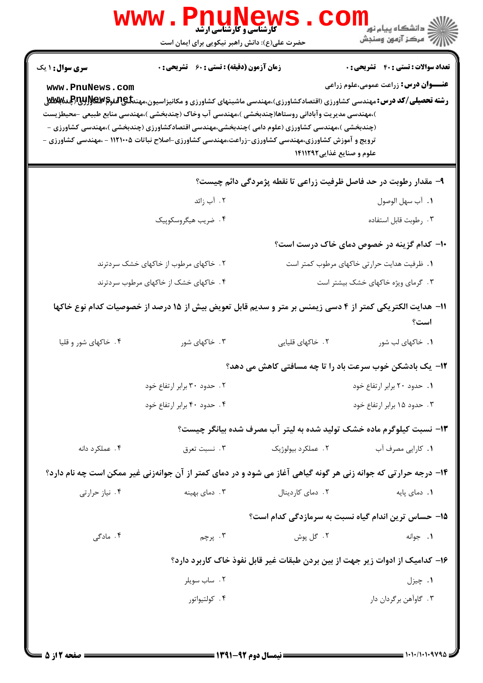|                                                                                                                                                                                                                                                                                                                                                        | <b>کارشناسی و کارشناسی ارشد</b><br>حضرت علی(ع): دانش راهبر نیکویی برای ایمان است |                                                                                                                  | ڪ دانشڪاه پيام نور<br><mark>ر</mark> > مرڪز آزمون وسنڊش                                   |
|--------------------------------------------------------------------------------------------------------------------------------------------------------------------------------------------------------------------------------------------------------------------------------------------------------------------------------------------------------|----------------------------------------------------------------------------------|------------------------------------------------------------------------------------------------------------------|-------------------------------------------------------------------------------------------|
| <b>سری سوال : ۱ یک</b><br>www.PnuNews.com<br>)،مهندسی مدیریت وآبادانی روستاها(چندبخشی )،مهندسی آب وخاک (چندبخشی )،مهندسی منابع طبیعی –محیطزیست<br>(چندبخشی )،مهندسی کشاورزی (علوم دامی )چندبخشی،مهندسی اقتصادکشاورزی (چندبخشی )،مهندسی کشاورزی -<br>ترویج و آموزش کشاورزی،مهندسی کشاورزی-زراعت،مهندسی کشاورزی-اصلاح نباتات ۱۱۲۱۰۰۵ - ،مهندسی کشاورزی - | <b>زمان آزمون (دقیقه) : تستی : 60 ٪ تشریحی : 0</b>                               | علوم و صنایع غذایی ۱۴۱۱۲۹۲                                                                                       | <b>تعداد سوالات : تستی : 40 قشریحی : 0</b><br><b>عنـــوان درس:</b> زراعت عمومی،علوم زراعی |
|                                                                                                                                                                                                                                                                                                                                                        |                                                                                  | ۹- مقدار رطوبت در حد فاصل ظرفیت زراعی تا نقطه پژمردگی دائم چیست؟                                                 |                                                                                           |
|                                                                                                                                                                                                                                                                                                                                                        | ۰۲ آب زائد                                                                       |                                                                                                                  | ٠١. آب سهل الوصول                                                                         |
|                                                                                                                                                                                                                                                                                                                                                        | ۴. ضريب هيگروسكوپيک                                                              |                                                                                                                  | ۰۳ رطوبت قابل استفاده                                                                     |
|                                                                                                                                                                                                                                                                                                                                                        |                                                                                  |                                                                                                                  | ۱۰– کدام گزینه در خصوص دمای خاک درست است؟                                                 |
|                                                                                                                                                                                                                                                                                                                                                        | ۲. خاکهای مرطوب از خاکهای خشک سردترند                                            |                                                                                                                  | 1. ظرفیت هدایت حرارتی خاکهای مرطوب کمتر است                                               |
|                                                                                                                                                                                                                                                                                                                                                        | ۴. خاکهای خشک از خاکهای مرطوب سردترند                                            |                                                                                                                  | ۰۳ گرمای ویژه خاکهای خشک بیشتر است                                                        |
|                                                                                                                                                                                                                                                                                                                                                        |                                                                                  | <b>۱۱</b> – هدایت الکتریکی کمتر از ۴ دسی زیمنس بر متر و سدیم قابل تعویض بیش از ۱۵ درصد از خصوصیات کدام نوع خاکها | است؟                                                                                      |
| ۴. خاکهای شور و قلیا                                                                                                                                                                                                                                                                                                                                   | ۰۳ خاکهای شور                                                                    | ۲. خاکهای قلیایی                                                                                                 | ۰۱ خاکهای لب شور                                                                          |
|                                                                                                                                                                                                                                                                                                                                                        |                                                                                  | ۱۲- یک بادشکن خوب سرعت باد را تا چه مسافتی کاهش می دهد؟                                                          |                                                                                           |
|                                                                                                                                                                                                                                                                                                                                                        | ۰۲ حدود ۳۰ برابر ارتفاع خود                                                      |                                                                                                                  | ٠١. حدود ٢٠ برابر ارتفاع خود                                                              |
|                                                                                                                                                                                                                                                                                                                                                        | ۰۴ حدود ۴۰ برابر ارتفاع خود                                                      |                                                                                                                  | ۰۳ حدود ۱۵ برابر ارتفاع خود                                                               |
|                                                                                                                                                                                                                                                                                                                                                        |                                                                                  | ۱۳- نسبت کیلوگرم ماده خشک تولید شده به لیتر آب مصرف شده بیانگر چیست؟                                             |                                                                                           |
| ۰۴ عملکرد دانه                                                                                                                                                                                                                                                                                                                                         | ۰۳ نسبت تعرق                                                                     | ۲. عملکرد بیولوژیک                                                                                               | ۰۱ کارایی مصرف آب                                                                         |
| ۱۴- درجه حرارتی که جوانه زنی هر گونه گیاهی آغاز می شود و در دمای کمتر از آن جوانهزنی غیر ممکن است چه نام دارد؟                                                                                                                                                                                                                                         |                                                                                  |                                                                                                                  |                                                                                           |
| ۰۴ نیاز حرارتی                                                                                                                                                                                                                                                                                                                                         | ۰۳ دمای بهینه                                                                    | ٢. دمای کاردینال                                                                                                 | ٠١. دمای پایه                                                                             |
|                                                                                                                                                                                                                                                                                                                                                        |                                                                                  | ۱۵– حساس ترین اندام گیاه نسبت به سرمازدگی کدام است؟                                                              |                                                                                           |
| ۴. مادگی                                                                                                                                                                                                                                                                                                                                               | ۴. پرچم                                                                          | ۰۲ گل پوش                                                                                                        | ۰۱ جوانه                                                                                  |
|                                                                                                                                                                                                                                                                                                                                                        | ۱۶– کدامیک از ادوات زیر جهت از بین بردن طبقات غیر قابل نفوذ خاک کاربرد دارد؟     |                                                                                                                  |                                                                                           |
|                                                                                                                                                                                                                                                                                                                                                        | ۰۲ ساب سويلر                                                                     |                                                                                                                  | ۰۱ چيزل                                                                                   |
|                                                                                                                                                                                                                                                                                                                                                        |                                                                                  |                                                                                                                  |                                                                                           |

 $= 1.1 - 11.1 - 97$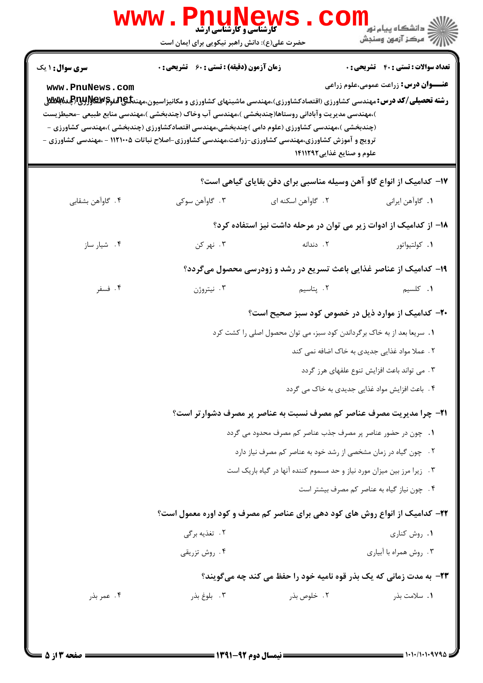|                                           | <b>WWW</b> .<br><b>کارشناسی و کارشناسی ارشد</b><br>حضرت علی(ع): دانش راهبر نیکویی برای ایمان است |                                                                                                                                                                                                                                                                                                                                                                                                                                                                                               | ڪ دانشڪاه پيا <sub>م</sub> نور<br>ا∛ مرڪز آزمون وسنڊش                                       |
|-------------------------------------------|--------------------------------------------------------------------------------------------------|-----------------------------------------------------------------------------------------------------------------------------------------------------------------------------------------------------------------------------------------------------------------------------------------------------------------------------------------------------------------------------------------------------------------------------------------------------------------------------------------------|---------------------------------------------------------------------------------------------|
| <b>سری سوال : ۱ یک</b><br>www.PnuNews.com | <b>زمان آزمون (دقیقه) : تستی : 60 ٪ تشریحی : 0</b>                                               | <b>رشته تحصیلی/کد درس:</b> مهندسی کشاورزی (اقتصادکشاورزی)،مهندسی ماشینهای کشاورزی و مکانیزاسیون،مهند <b>تلیAیلهو©WEWپراللی</b> غتا <b>للافلا</b> ل<br>)،مهندسی مدیریت وآبادانی روستاها(چندبخشی )،مهندسی آب وخاک (چندبخشی )،مهندسی منابع طبیعی –محیطزیست<br>(چندبخشی )،مهندسی کشاورزی (علوم دامی )چندبخشی،مهندسی اقتصادکشاورزی (چندبخشی )،مهندسی کشاورزی -<br>ترویج و آموزش کشاورزی،مهندسی کشاورزی-زراعت،مهندسی کشاورزی-اصلاح نباتات ۱۱۲۱۰۰۵ - ،مهندسی کشاورزی -<br>علوم و صنایع غذایی ۱۴۱۱۲۹۲ | <b>تعداد سوالات : تستي : 40 ٪ تشريحي : 0</b><br><b>عنـــوان درس:</b> زراعت عمومی،علوم زراعی |
|                                           |                                                                                                  | ۱۷– کدامیک از انواع گاو آهن وسیله مناسبی برای دفن بقایای گیاهی است؟                                                                                                                                                                                                                                                                                                                                                                                                                           |                                                                                             |
| ۰۴ گاوآهن بشقابي                          | ۰۳ گاوآهن سوکي                                                                                   | ۲. گاوآهن اسکنه ای                                                                                                                                                                                                                                                                                                                                                                                                                                                                            | ٠١. گاوآهن ايراني                                                                           |
|                                           |                                                                                                  | ۱۸– از کدامیک از ادوات زیر می توان در مرحله داشت نیز استفاده کرد؟                                                                                                                                                                                                                                                                                                                                                                                                                             |                                                                                             |
| ۰۴ شیار ساز                               | ۰۳ نهر کن                                                                                        | ۰۲ دندانه                                                                                                                                                                                                                                                                                                                                                                                                                                                                                     | ٠١. كولتيواتور                                                                              |
|                                           |                                                                                                  | ۱۹- کدامیک از عناصر غذایی باعث تسریع در رشد و زودرسی محصول میگردد؟                                                                                                                                                                                                                                                                                                                                                                                                                            |                                                                                             |
| ۰۴ فسفر                                   | ۰۳ نیتروژن                                                                                       | ۰۲ پتاسیم                                                                                                                                                                                                                                                                                                                                                                                                                                                                                     | ۰۱ کلسیم                                                                                    |
|                                           |                                                                                                  | ۲۰- کدامیک از موارد ذیل در خصوص کود سبز صحیح است؟                                                                                                                                                                                                                                                                                                                                                                                                                                             |                                                                                             |
|                                           |                                                                                                  | ۱. سریعا بعد از به خاک برگرداندن کود سبز، می توان محصول اصلی را کشت کرد                                                                                                                                                                                                                                                                                                                                                                                                                       |                                                                                             |
|                                           |                                                                                                  |                                                                                                                                                                                                                                                                                                                                                                                                                                                                                               | ۲. عملا مواد غذایی جدیدی به خاک اضافه نمی کند                                               |
|                                           |                                                                                                  |                                                                                                                                                                                                                                                                                                                                                                                                                                                                                               | ۰۳ می تواند باعث افزایش تنوع علفهای هرز گردد                                                |
|                                           |                                                                                                  |                                                                                                                                                                                                                                                                                                                                                                                                                                                                                               | ۴. باعث افزایش مواد غذایی جدیدی به خاک می گردد                                              |
|                                           |                                                                                                  | <b>۲۱</b> - چرا مدیریت مصرف عناصر کم مصرف نسبت به عناصر پر مصرف دشوارتر است؟                                                                                                                                                                                                                                                                                                                                                                                                                  |                                                                                             |
|                                           |                                                                                                  | 1. چون در حضور عناصر پر مصرف جذب عناصر کم مصرف محدود می گردد                                                                                                                                                                                                                                                                                                                                                                                                                                  |                                                                                             |
|                                           |                                                                                                  | ٢. چون گیاه در زمان مشخصی از رشد خود به عناصر کم مصرف نیاز دارد                                                                                                                                                                                                                                                                                                                                                                                                                               |                                                                                             |
|                                           |                                                                                                  | ۰۳ زیرا مرز بین میزان مورد نیاز و حد مسموم کننده آنها در گیاه باریک است                                                                                                                                                                                                                                                                                                                                                                                                                       |                                                                                             |
|                                           |                                                                                                  |                                                                                                                                                                                                                                                                                                                                                                                                                                                                                               | ۰۴ چون نیاز گیاه به عناصر کم مصرف بیشتر است                                                 |
|                                           |                                                                                                  | ۲۲- کدامیک از انواع روش های کود دهی برای عناصر کم مصرف و کود اوره معمول است؟                                                                                                                                                                                                                                                                                                                                                                                                                  |                                                                                             |
|                                           | ۲. تغذیه برگی                                                                                    |                                                                                                                                                                                                                                                                                                                                                                                                                                                                                               | ۰۱ روش کناری                                                                                |
|                                           | ۰۴ روش تزریقی                                                                                    |                                                                                                                                                                                                                                                                                                                                                                                                                                                                                               | ۰۳ روش همراه با آبیاری                                                                      |
|                                           |                                                                                                  | <b>۲۳</b> - به مدت زمانی که یک بذر قوه نامیه خود را حفظ می کند چه میگویند؟                                                                                                                                                                                                                                                                                                                                                                                                                    |                                                                                             |
| ۰۴ عمر بذر                                | ۰۳ بلوغ بذر                                                                                      | ۰۲ خلوص بذر                                                                                                                                                                                                                                                                                                                                                                                                                                                                                   | 1. سلامت بذر                                                                                |
|                                           |                                                                                                  |                                                                                                                                                                                                                                                                                                                                                                                                                                                                                               |                                                                                             |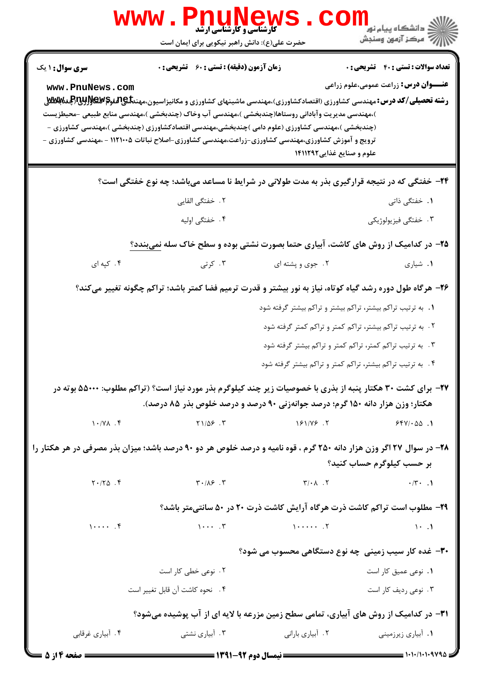|                        | <b>Phuney</b><br>WWW<br><b>کارشناسی و کارشناسی ارشد</b><br>حضرت علی(ع): دانش راهبر نیکویی برای ایمان است                                                                                                                                                                                                                                                  |                                                                                                                                                                                                                                                                               | دانشگاه پیام نو <mark>ر</mark><br>رِ آزمون وسنڊش                                  |
|------------------------|-----------------------------------------------------------------------------------------------------------------------------------------------------------------------------------------------------------------------------------------------------------------------------------------------------------------------------------------------------------|-------------------------------------------------------------------------------------------------------------------------------------------------------------------------------------------------------------------------------------------------------------------------------|-----------------------------------------------------------------------------------|
| سری سوال: ۱ یک         | <b>زمان آزمون (دقیقه) : تستی : 60 ٪ تشریحی : 0</b>                                                                                                                                                                                                                                                                                                        |                                                                                                                                                                                                                                                                               | <b>تعداد سوالات : تستی : 40 - تشریحی : 0</b>                                      |
| www.PnuNews.com        | <b>رشته تحصیلی/کد درس:</b> مهندسی کشاورزی (اقتصادکشاورزی)،مهندسی ماشینهای کشاورزی و مکانیزاسیون،مهند <b>تلیAیلهو©WEWپراللی</b> غتا <b>للافلا</b> ل<br>)،مهندسی مدیریت وآبادانی روستاها(چندبخشی )،مهندسی آب وخاک (چندبخشی )،مهندسی منابع طبیعی –محیطزیست<br>(چندبخشی )،مهندسی کشاورزی (علوم دامی )چندبخشی،مهندسی اقتصادکشاورزی (چندبخشی )،مهندسی کشاورزی - |                                                                                                                                                                                                                                                                               | <b>عنـــوان درس:</b> زراعت عمومی،علوم زراعی                                       |
|                        | ترویج و آموزش کشاورزی،مهندسی کشاورزی-زراعت،مهندسی کشاورزی-اصلاح نباتات ۱۱۲۱۰۰۵ - ،مهندسی کشاورزی -                                                                                                                                                                                                                                                        | علوم و صنایع غذایی1۴۱۱۲۹۲                                                                                                                                                                                                                                                     |                                                                                   |
|                        | ۲۴- خفتگی که در نتیجه قرارگیری بذر به مدت طولانی در شرایط نا مساعد میباشد؛ چه نوع خفتگی است؟                                                                                                                                                                                                                                                              |                                                                                                                                                                                                                                                                               |                                                                                   |
|                        | ۲ . خفتگی القایی                                                                                                                                                                                                                                                                                                                                          |                                                                                                                                                                                                                                                                               | <b>۱.</b> خفتگی ذاتی                                                              |
|                        | ۰۴ خفتگی اولیه                                                                                                                                                                                                                                                                                                                                            |                                                                                                                                                                                                                                                                               | ۰۳ خفتگی فیزیولوژیکی                                                              |
|                        | <b>۲۵</b> - در کدامیک از روش های کاشت، آبیاری حتما بصورت نشتی بوده و سطح خاک سله نمیبندد؟                                                                                                                                                                                                                                                                 |                                                                                                                                                                                                                                                                               |                                                                                   |
| ۰۴ کپه ای              | ۰۳ کرتی                                                                                                                                                                                                                                                                                                                                                   | ۰۲ جوی و پشته ای                                                                                                                                                                                                                                                              | ۰۱ شیاری                                                                          |
|                        | ۲۶– هرگاه طول دوره رشد گیاه کوتاه، نیاز به نور بیشتر و قدرت ترمیم فضا کمتر باشد؛ تراکم چگونه تغییر میکند؟                                                                                                                                                                                                                                                 |                                                                                                                                                                                                                                                                               |                                                                                   |
|                        |                                                                                                                                                                                                                                                                                                                                                           | ۰۱ به ترتیب تراکم بیشتر، تراکم بیشتر و تراکم بیشتر گرفته شود                                                                                                                                                                                                                  |                                                                                   |
|                        |                                                                                                                                                                                                                                                                                                                                                           |                                                                                                                                                                                                                                                                               | ۰۲ به ترتیب تراکم بیشتر، تراکم کمتر و تراکم کمتر گرفته شود                        |
|                        |                                                                                                                                                                                                                                                                                                                                                           |                                                                                                                                                                                                                                                                               | ۰۳ . به ترتیب تراکم کمتر، تراکم کمتر و تراکم بیشتر گرفته شود                      |
|                        |                                                                                                                                                                                                                                                                                                                                                           |                                                                                                                                                                                                                                                                               | ۴ . به ترتیب تراکم بیشتر، تراکم کمتر و تراکم بیشتر گرفته شود                      |
|                        | <b>۳۷</b> - برای کشت ۳۰ هکتار پنبه از بذری با خصوصیات زیر چند کیلوگرم بذر مورد نیاز است؟ (تراکم مطلوب: ۵۵۰۰۰ بوته در                                                                                                                                                                                                                                      |                                                                                                                                                                                                                                                                               |                                                                                   |
|                        | هکتار؛ وزن هزار دانه ۱۵۰ گرم؛ درصد جوانهزنی ۹۰ درصد و درصد خلوص بذر ۸۵ درصد).                                                                                                                                                                                                                                                                             |                                                                                                                                                                                                                                                                               |                                                                                   |
|                        | $Y = \frac{1}{2}$ $Y = \frac{1}{2}$ $Y = \frac{1}{2}$ $Y = \frac{1}{2}$ $Y = \frac{1}{2}$ $Y = \frac{1}{2}$ $Y = \frac{1}{2}$ $Y = \frac{1}{2}$ $Y = \frac{1}{2}$ $Y = \frac{1}{2}$ $Y = \frac{1}{2}$ $Y = \frac{1}{2}$ $Y = \frac{1}{2}$ $Y = \frac{1}{2}$ $Y = \frac{1}{2}$ $Y = \frac{1}{2}$ $Y = \frac{1}{2}$ $Y = \frac{1}{2}$ $Y = \frac$           |                                                                                                                                                                                                                                                                               | $554/100$ .                                                                       |
|                        | ۲۸- در سوال ۲۷ اگر وزن هزار دانه ۲۵۰ گرم ، قوه نامیه و درصد خلوص هر دو ۹۰ درصد باشد؛ میزان بذر مصرفی در هر هکتار را                                                                                                                                                                                                                                       |                                                                                                                                                                                                                                                                               | بر حسب کیلوگرم حساب کنید؟                                                         |
| $Y \cdot / Y \Delta$ . | $\mathbf{r} \cdot / \mathbf{r}$ . $\mathbf{r}$                                                                                                                                                                                                                                                                                                            | $\mathsf{r}/\cdot\mathsf{A}$ . $\mathsf{Y}$ . The set of $\mathsf{Y}$ is the set of $\mathsf{Y}$ is the set of $\mathsf{Y}$ is the set of $\mathsf{Y}$ is the set of $\mathsf{Y}$ is the set of $\mathsf{Y}$ is the set of $\mathsf{Y}$ is the set of $\mathsf{Y}$ is the set |                                                                                   |
|                        |                                                                                                                                                                                                                                                                                                                                                           |                                                                                                                                                                                                                                                                               | <b>۲۹</b> - مطلوب است تراکم کاشت ذرت هرگاه آرایش کاشت ذرت ۲۰ در ۵۰ سانتیمتر باشد؟ |
| $1 \cdots$ . $f$       | $\begin{bmatrix} 1 & \cdots & 1 \end{bmatrix}$                                                                                                                                                                                                                                                                                                            |                                                                                                                                                                                                                                                                               | $\mathcal{N}$ . The state of $\mathcal{N}$                                        |
|                        |                                                                                                                                                                                                                                                                                                                                                           |                                                                                                                                                                                                                                                                               | <b>۳۰</b> - غده کار سیب زمینی چه نوع دستگاهی محسوب می شود؟                        |
|                        | ۰۲ نوعی خطی کار است                                                                                                                                                                                                                                                                                                                                       |                                                                                                                                                                                                                                                                               | ۰۱ نوعی عمیق کار است                                                              |
|                        | ۴. نحوه كاشت آن قابل تغيير است                                                                                                                                                                                                                                                                                                                            |                                                                                                                                                                                                                                                                               | ۰۳ نوعی ردیف کار است                                                              |
|                        | ۳۱– در کدامیک از روش های آبیاری، تمامی سطح زمین مزرعه با لایه ای از آب پوشیده میشود؟                                                                                                                                                                                                                                                                      |                                                                                                                                                                                                                                                                               |                                                                                   |
| ۰۴ آبیاری غرقابی       |                                                                                                                                                                                                                                                                                                                                                           |                                                                                                                                                                                                                                                                               | ۰۱ أبياري زيرزميني                                                                |
| ــــــــ صفحه ٤ از ٥   |                                                                                                                                                                                                                                                                                                                                                           |                                                                                                                                                                                                                                                                               |                                                                                   |